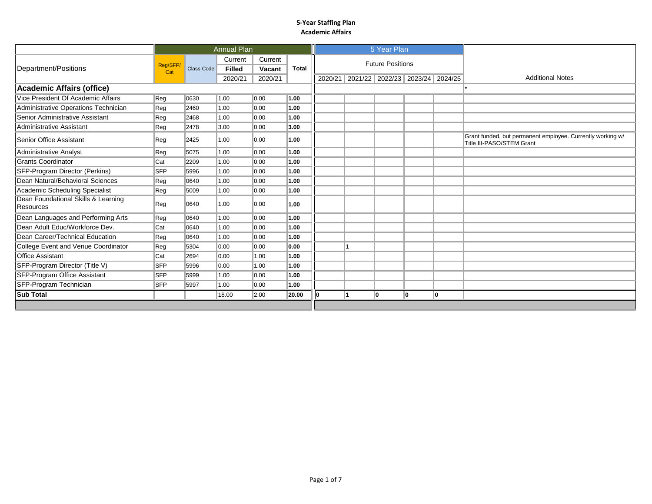|                                                         |                |            | <b>Annual Plan</b>                  |                              |       |                                         | 5 Year Plan             |    |    |                                                                                         |  |
|---------------------------------------------------------|----------------|------------|-------------------------------------|------------------------------|-------|-----------------------------------------|-------------------------|----|----|-----------------------------------------------------------------------------------------|--|
| Department/Positions                                    | Reg/SFP<br>Cat | Class Code | Current<br><b>Filled</b><br>2020/21 | Current<br>Vacant<br>2020/21 | Total | 2020/21 2021/22 2022/23 2023/24 2024/25 | <b>Future Positions</b> |    |    | <b>Additional Notes</b>                                                                 |  |
| <b>Academic Affairs (office)</b>                        |                |            |                                     |                              |       |                                         |                         |    |    |                                                                                         |  |
| Vice President Of Academic Affairs                      | Reg            | 0630       | 1.00                                | 0.00                         | 1.00  |                                         |                         |    |    |                                                                                         |  |
| Administrative Operations Technician                    | Reg            | 2460       | 1.00                                | 0.00                         | 1.00  |                                         |                         |    |    |                                                                                         |  |
| Senior Administrative Assistant                         | Reg            | 2468       | 1.00                                | $\vert$ 0.00                 | 1.00  |                                         |                         |    |    |                                                                                         |  |
| Administrative Assistant                                | Reg            | 2478       | 3.00                                | $\parallel$ 0.00             | 3.00  |                                         |                         |    |    |                                                                                         |  |
| Senior Office Assistant                                 | Reg            | 2425       | 1.00                                | $\parallel$ 0.00             | 1.00  |                                         |                         |    |    | Grant funded, but permanent employee. Currently working w/<br>Title III-PASO/STEM Grant |  |
| <b>Administrative Analyst</b>                           | Reg            | 5075       | 1.00                                | $\parallel$ 0.00             | 1.00  |                                         |                         |    |    |                                                                                         |  |
| <b>Grants Coordinator</b>                               | Cat            | 2209       | 1.00                                | $\parallel$ 0.00             | 1.00  |                                         |                         |    |    |                                                                                         |  |
| SFP-Program Director (Perkins)                          | <b>SFP</b>     | 5996       | 1.00                                | 0.00                         | 1.00  |                                         |                         |    |    |                                                                                         |  |
| Dean Natural/Behavioral Sciences                        | Reg            | 0640       | 1.00                                | $\parallel$ 0.00             | 1.00  |                                         |                         |    |    |                                                                                         |  |
| Academic Scheduling Specialist                          | Reg            | 5009       | 1.00                                | $\parallel$ 0.00             | 1.00  |                                         |                         |    |    |                                                                                         |  |
| Dean Foundational Skills & Learning<br><b>Resources</b> | Reg            | 0640       | 1.00                                | 0.00                         | 1.00  |                                         |                         |    |    |                                                                                         |  |
| Dean Languages and Performing Arts                      | Reg            | 0640       | 1.00                                | $\parallel$ 0.00             | 1.00  |                                         |                         |    |    |                                                                                         |  |
| Dean Adult Educ/Workforce Dev.                          | Cat            | 0640       | 1.00                                | $\parallel$ 0.00             | 1.00  |                                         |                         |    |    |                                                                                         |  |
| Dean Career/Technical Education                         | Reg            | 0640       | 1.00                                | $\parallel$ 0.00             | 1.00  |                                         |                         |    |    |                                                                                         |  |
| College Event and Venue Coordinator                     | Reg            | 5304       | $\parallel$ 0.00                    | 0.00                         | 0.00  |                                         |                         |    |    |                                                                                         |  |
| <b>Office Assistant</b>                                 | Cat            | 2694       | $\parallel$ 0.00                    | 1.00                         | 1.00  |                                         |                         |    |    |                                                                                         |  |
| SFP-Program Director (Title V)                          | <b>SFP</b>     | 5996       | $\parallel$ 0.00                    | 1.00                         | 1.00  |                                         |                         |    |    |                                                                                         |  |
| SFP-Program Office Assistant                            | <b>SFP</b>     | 5999       | 1.00                                | 0.00                         | 1.00  |                                         |                         |    |    |                                                                                         |  |
| SFP-Program Technician                                  | <b>SFP</b>     | 5997       | 1.00                                | $\parallel$ 0.00             | 1.00  |                                         |                         |    |    |                                                                                         |  |
| <b>Sub Total</b>                                        |                |            | 18.00                               | 2.00                         | 20.00 | 11                                      | 10                      | ۱o | 10 |                                                                                         |  |
|                                                         |                |            |                                     |                              |       |                                         |                         |    |    |                                                                                         |  |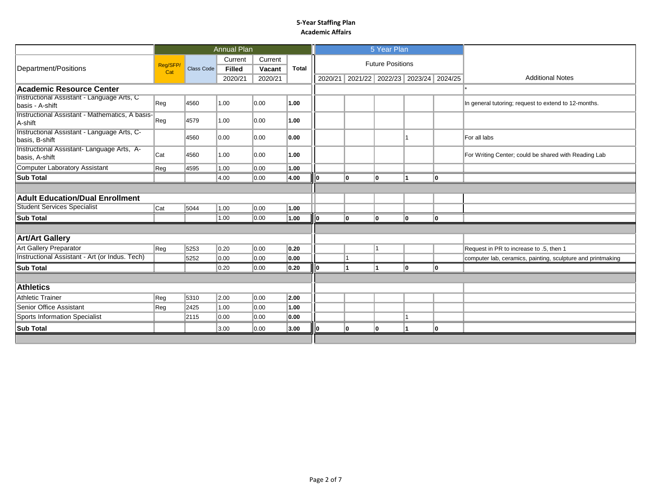|                                                               |                 |            | <b>Annual Plan</b> |         |              |                                         | 5 Year Plan             |    |     |                                                             |
|---------------------------------------------------------------|-----------------|------------|--------------------|---------|--------------|-----------------------------------------|-------------------------|----|-----|-------------------------------------------------------------|
|                                                               |                 |            | Current            | Current |              |                                         | <b>Future Positions</b> |    |     |                                                             |
| Department/Positions                                          | Reg/SFP/<br>Cat | Class Code | <b>Filled</b>      | Vacant  | <b>Total</b> |                                         |                         |    |     |                                                             |
|                                                               |                 |            | 2020/21            | 2020/21 |              | 2020/21 2021/22 2022/23 2023/24 2024/25 |                         |    |     | <b>Additional Notes</b>                                     |
| Academic Resource Center                                      |                 |            |                    |         |              |                                         |                         |    |     |                                                             |
| Instructional Assistant - Language Arts, C<br>basis - A-shift | Reg             | 4560       | 1.00               | 0.00    | 1.00         |                                         |                         |    |     | In general tutoring; request to extend to 12-months.        |
| Instructional Assistant - Mathematics, A basis-<br>A-shift    | $\ $ Reg        | 4579       | 1.00               | 0.00    | 1.00         |                                         |                         |    |     |                                                             |
| Instructional Assistant - Language Arts, C-<br>basis, B-shift |                 | 4560       | 0.00               | 0.00    | 0.00         |                                         |                         |    |     | For all labs                                                |
| Instructional Assistant- Language Arts, A-<br>basis, A-shift  | Cat             | 4560       | 1.00               | 0.00    | 1.00         |                                         |                         |    |     | For Writing Center; could be shared with Reading Lab        |
| Computer Laboratory Assistant                                 | ∥Reg            | 4595       | 1.00               | 0.00    | 1.00         |                                         |                         |    |     |                                                             |
| <b>Sub Total</b>                                              |                 |            | 4.00               | 0.00    | 4.00         | I٥                                      | I٥                      |    | lo. |                                                             |
|                                                               |                 |            |                    |         |              |                                         |                         |    |     |                                                             |
| <b>Adult Education/Dual Enrollment</b>                        |                 |            |                    |         |              |                                         |                         |    |     |                                                             |
| <b>Student Services Specialist</b>                            | Cat             | 5044       | 1.00               | 0.00    | 1.00         |                                         |                         |    |     |                                                             |
| <b>Sub Total</b>                                              |                 |            | 1.00               | 0.00    | 1.00         | I٥                                      | I٥                      | 10 | 10  |                                                             |
|                                                               |                 |            |                    |         |              |                                         |                         |    |     |                                                             |
| <b>Art/Art Gallery</b>                                        |                 |            |                    |         |              |                                         |                         |    |     |                                                             |
| <b>Art Gallery Preparator</b>                                 | Reg             | 5253       | $\vert$ 0.20       | 0.00    | 0.20         |                                         |                         |    |     | Request in PR to increase to .5, then 1                     |
| Instructional Assistant - Art (or Indus. Tech)                |                 | 5252       | 0.00               | 0.00    | 0.00         |                                         |                         |    |     | computer lab, ceramics, painting, sculpture and printmaking |
| <b>Sub Total</b>                                              |                 |            | 0.20               | 0.00    | 0.20         |                                         |                         | 10 | I٥  |                                                             |
|                                                               |                 |            |                    |         |              |                                         |                         |    |     |                                                             |
| <b>Athletics</b>                                              |                 |            |                    |         |              |                                         |                         |    |     |                                                             |
| <b>Athletic Trainer</b>                                       | Reg             | 5310       | 2.00               | 0.00    | 2.00         |                                         |                         |    |     |                                                             |
| Senior Office Assistant                                       | Reg             | 2425       | 1.00               | 0.00    | 1.00         |                                         |                         |    |     |                                                             |
| Sports Information Specialist                                 |                 | 2115       | 0.00               | 0.00    | 0.00         |                                         |                         |    |     |                                                             |
| <b>Sub Total</b>                                              |                 |            | 3.00               | 0.00    | 3.00         | 10                                      | 10                      |    | O   |                                                             |
|                                                               |                 |            |                    |         |              |                                         |                         |    |     |                                                             |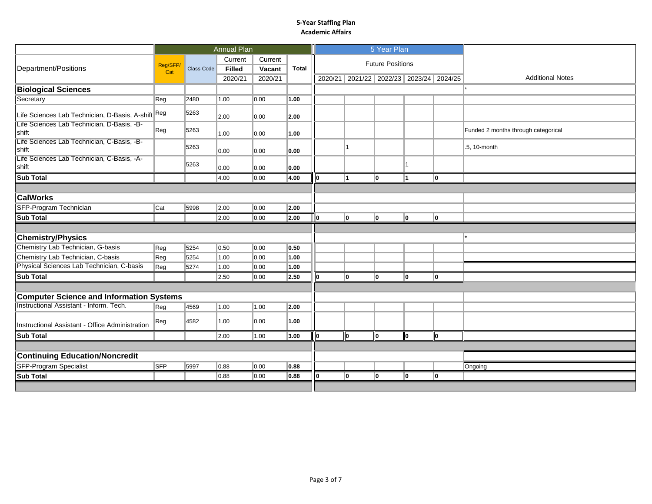|                                                               |            |            | <b>Annual Plan</b> |         |       |      |                                         | 5 Year Plan             |      |     |                                     |
|---------------------------------------------------------------|------------|------------|--------------------|---------|-------|------|-----------------------------------------|-------------------------|------|-----|-------------------------------------|
|                                                               | Reg/SFP/   |            | Current            | Current |       |      |                                         | <b>Future Positions</b> |      |     |                                     |
| Department/Positions                                          | Cat        | Class Code | <b>Filled</b>      | Vacant  | Total |      |                                         |                         |      |     |                                     |
|                                                               |            |            | 2020/21            | 2020/21 |       |      | 2020/21 2021/22 2022/23 2023/24 2024/25 |                         |      |     | <b>Additional Notes</b>             |
| <b>Biological Sciences</b>                                    |            |            |                    |         |       |      |                                         |                         |      |     |                                     |
| Secretary                                                     | Reg        | 2480       | 1.00               | 0.00    | 1.00  |      |                                         |                         |      |     |                                     |
| Life Sciences Lab Technician, D-Basis, A-shift <sup>Reg</sup> |            | 5263       | 2.00               | 0.00    | 2.00  |      |                                         |                         |      |     |                                     |
| Life Sciences Lab Technician, D-Basis, -B-<br>shift           | Reg        | 5263       | 1.00               | 0.00    | 1.00  |      |                                         |                         |      |     | Funded 2 months through categorical |
| Life Sciences Lab Technician, C-Basis, -B-<br>shift           |            | 5263       | 0.00               | 0.00    | 0.00  |      | 11                                      |                         |      |     | .5, 10-month                        |
| Life Sciences Lab Technician, C-Basis, -A-<br>shift           |            | 5263       | 0.00               | 0.00    | 0.00  |      |                                         |                         |      |     |                                     |
| <b>Sub Total</b>                                              |            |            | 4.00               | 0.00    | 4.00  | n    | 11                                      | I٥                      | 11   | I٥  |                                     |
|                                                               |            |            |                    |         |       |      |                                         |                         |      |     |                                     |
| <b>CalWorks</b>                                               |            |            |                    |         |       |      |                                         |                         |      |     |                                     |
| SFP-Program Technician                                        | Cat        | 5998       | 2.00               | 0.00    | 2.00  |      |                                         |                         |      |     |                                     |
| <b>Sub Total</b>                                              |            |            | 2.00               | 0.00    | 2.00  | I٥   | lo.                                     | lo                      | I٥   | lo. |                                     |
|                                                               |            |            |                    |         |       |      |                                         |                         |      |     |                                     |
| <b>Chemistry/Physics</b>                                      |            |            |                    |         |       |      |                                         |                         |      |     |                                     |
| Chemistry Lab Technician, G-basis                             | Reg        | 5254       | 0.50               | 0.00    | 0.50  |      |                                         |                         |      |     |                                     |
| Chemistry Lab Technician, C-basis                             | Reg        | 5254       | 1.00               | 0.00    | 1.00  |      |                                         |                         |      |     |                                     |
| Physical Sciences Lab Technician, C-basis                     | Reg        | 5274       | 1.00               | 0.00    | 1.00  |      |                                         |                         |      |     |                                     |
| <b>Sub Total</b>                                              |            |            | 2.50               | 0.00    | 2.50  | llo. | I٥                                      | I٥                      | lo.  | ۱o  |                                     |
|                                                               |            |            |                    |         |       |      |                                         |                         |      |     |                                     |
| <b>Computer Science and Information Systems</b>               |            |            |                    |         |       |      |                                         |                         |      |     |                                     |
| Instructional Assistant - Inform. Tech.                       | Reg        | 4569       | 1.00               | 1.00    | 2.00  |      |                                         |                         |      |     |                                     |
| Instructional Assistant - Office Administration               | Reg        | 4582       | 1.00               | 0.00    | 1.00  |      |                                         |                         |      |     |                                     |
| <b>Sub Total</b>                                              |            |            | 2.00               | 1.00    | 3.00  | llo  | lo.                                     | l O                     | llo. | ll0 |                                     |
|                                                               |            |            |                    |         |       |      |                                         |                         |      |     |                                     |
| <b>Continuing Education/Noncredit</b>                         |            |            |                    |         |       |      |                                         |                         |      |     |                                     |
| <b>SFP-Program Specialist</b>                                 | <b>SFP</b> | 5997       | 0.88               | 0.00    | 0.88  |      |                                         |                         |      |     | Ongoing                             |
| <b>Sub Total</b>                                              |            |            | 0.88               | 0.00    | 0.88  | I٥   | I٥                                      | I٥                      | 10   | lo. |                                     |
|                                                               |            |            |                    |         |       |      |                                         |                         |      |     |                                     |
|                                                               |            |            |                    |         |       |      |                                         |                         |      |     |                                     |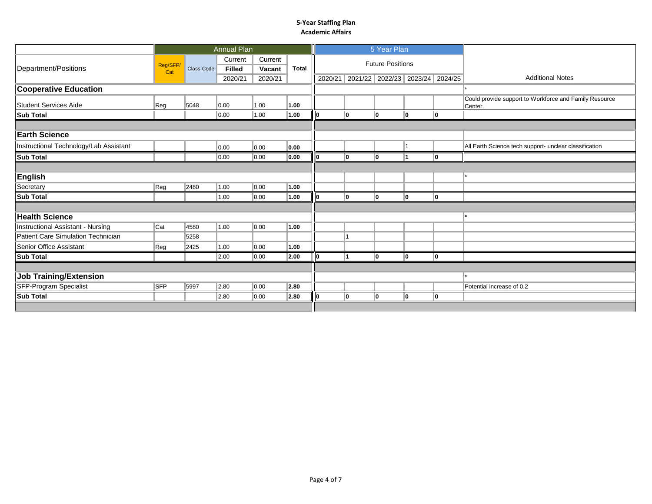|                                        |                 |            | <b>Annual Plan</b>                  |                              |       |         |     | 5 Year Plan                                                |    |     |                                                                   |
|----------------------------------------|-----------------|------------|-------------------------------------|------------------------------|-------|---------|-----|------------------------------------------------------------|----|-----|-------------------------------------------------------------------|
| Department/Positions                   | Reg/SFP/<br>Cat | Class Code | Current<br><b>Filled</b><br>2020/21 | Current<br>Vacant<br>2020/21 | Total | 2020/21 |     | <b>Future Positions</b><br>2021/22 2022/23 2023/24 2024/25 |    |     | <b>Additional Notes</b>                                           |
| <b>Cooperative Education</b>           |                 |            |                                     |                              |       |         |     |                                                            |    |     |                                                                   |
| <b>Student Services Aide</b>           | Reg             | 5048       | 0.00                                | 1.00                         | 1.00  |         |     |                                                            |    |     | Could provide support to Workforce and Family Resource<br>Center. |
| <b>Sub Total</b>                       |                 |            | 0.00                                | 1.00                         | 1.00  |         | lo. | 10                                                         | 10 | 10  |                                                                   |
|                                        |                 |            |                                     |                              |       |         |     |                                                            |    |     |                                                                   |
| <b>Earth Science</b>                   |                 |            |                                     |                              |       |         |     |                                                            |    |     |                                                                   |
| Instructional Technology/Lab Assistant |                 |            | 0.00                                | 0.00                         | 0.00  |         |     |                                                            |    |     | All Earth Science tech support- unclear classification            |
| <b>Sub Total</b>                       |                 |            | 0.00                                | 0.00                         | 0.00  | 10.     | I٥  | I٥                                                         |    | lo. |                                                                   |
|                                        |                 |            |                                     |                              |       |         |     |                                                            |    |     |                                                                   |
| <b>English</b>                         |                 |            |                                     |                              |       |         |     |                                                            |    |     |                                                                   |
| Secretary                              | Reg             | 2480       | 1.00                                | 0.00                         | 1.00  |         |     |                                                            |    |     |                                                                   |
| <b>Sub Total</b>                       |                 |            | 1.00                                | 0.00                         | 1.00  | חו      | lo. | I٥                                                         | 10 | lo. |                                                                   |
|                                        |                 |            |                                     |                              |       |         |     |                                                            |    |     |                                                                   |
| <b>Health Science</b>                  |                 |            |                                     |                              |       |         |     |                                                            |    |     |                                                                   |
| Instructional Assistant - Nursing      | Cat             | 4580       | 1.00                                | 0.00                         | 1.00  |         |     |                                                            |    |     |                                                                   |
| Patient Care Simulation Technician     |                 | 5258       |                                     |                              |       |         |     |                                                            |    |     |                                                                   |
| Senior Office Assistant                | Reg             | 2425       | 1.00                                | 0.00                         | 1.00  |         |     |                                                            |    |     |                                                                   |
| <b>Sub Total</b>                       |                 |            | 2.00                                | 0.00                         | 2.00  | llo     | 11  | I٥                                                         | I٥ | lo. |                                                                   |
|                                        |                 |            |                                     |                              |       |         |     |                                                            |    |     |                                                                   |
| <b>Job Training/Extension</b>          |                 |            |                                     |                              |       |         |     |                                                            |    |     |                                                                   |
| SFP-Program Specialist                 | <b>SFP</b>      | 5997       | 2.80                                | 0.00                         | 2.80  |         |     |                                                            |    |     | Potential increase of 0.2                                         |
| <b>Sub Total</b>                       |                 |            | 2.80                                | 0.00                         | 2.80  | ıη      | I٥  | 10                                                         | I٥ | I٥  |                                                                   |
|                                        |                 |            |                                     |                              |       |         |     |                                                            |    |     |                                                                   |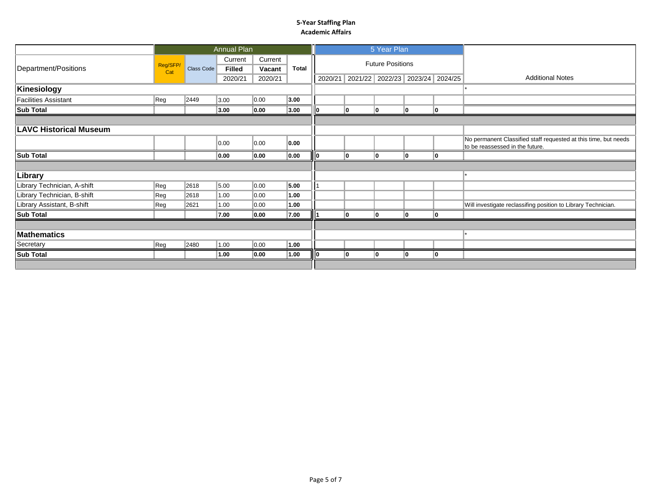|                               |                 |            | Annual Plan              |                   |              |         |                                 | 5 Year Plan             |    |    |                                                                                                    |
|-------------------------------|-----------------|------------|--------------------------|-------------------|--------------|---------|---------------------------------|-------------------------|----|----|----------------------------------------------------------------------------------------------------|
| Department/Positions          | Reg/SFP/<br>Cat | Class Code | Current<br><b>Filled</b> | Current<br>Vacant | <b>Total</b> |         |                                 | <b>Future Positions</b> |    |    |                                                                                                    |
|                               |                 |            | 2020/21                  | 2020/21           |              | 2020/21 | 2021/22 2022/23 2023/24 2024/25 |                         |    |    | <b>Additional Notes</b>                                                                            |
| Kinesiology                   |                 |            |                          |                   |              |         |                                 |                         |    |    |                                                                                                    |
| <b>Facilities Assistant</b>   | Reg             | 2449       | 3.00                     | 0.00              | 3.00         |         |                                 |                         |    |    |                                                                                                    |
| <b>Sub Total</b>              |                 |            | 3.00                     | 0.00              | 3.00         |         | I٥                              | ۱O                      | 10 | 10 |                                                                                                    |
|                               |                 |            |                          |                   |              |         |                                 |                         |    |    |                                                                                                    |
| <b>LAVC Historical Museum</b> |                 |            |                          |                   |              |         |                                 |                         |    |    |                                                                                                    |
|                               |                 |            | 0.00                     | 0.00              | 0.00         |         |                                 |                         |    |    | No permanent Classified staff requested at this time, but needs<br>to be reassessed in the future. |
| <b>Sub Total</b>              |                 |            | 0.00                     | 0.00              | 0.00         |         | 10                              |                         |    | 10 |                                                                                                    |
|                               |                 |            |                          |                   |              |         |                                 |                         |    |    |                                                                                                    |
| Library                       |                 |            |                          |                   |              |         |                                 |                         |    |    |                                                                                                    |
| Library Technician, A-shift   | Reg             | 2618       | 5.00                     | 0.00              | 5.00         |         |                                 |                         |    |    |                                                                                                    |
| Library Technician, B-shift   | Reg             | 2618       | 1.00                     | 0.00              | 1.00         |         |                                 |                         |    |    |                                                                                                    |
| Library Assistant, B-shift    | Reg             | 2621       | 1.00                     | 0.00              | 1.00         |         |                                 |                         |    |    | Will investigate reclassifing position to Library Technician.                                      |
| <b>Sub Total</b>              |                 |            | 7.00                     | 0.00              | 7.00         |         | I٥                              | ۱n                      |    | ۱o |                                                                                                    |
|                               |                 |            |                          |                   |              |         |                                 |                         |    |    |                                                                                                    |
| <b>Mathematics</b>            |                 |            |                          |                   |              |         |                                 |                         |    |    |                                                                                                    |
| Secretary                     | Reg             | 2480       | 1.00                     | 0.00              | 1.00         |         |                                 |                         |    |    |                                                                                                    |
| <b>Sub Total</b>              |                 |            | 1.00                     | 0.00              | 1.00         |         | I٥                              | 10                      | I٥ | 10 |                                                                                                    |
|                               |                 |            |                          |                   |              |         |                                 |                         |    |    |                                                                                                    |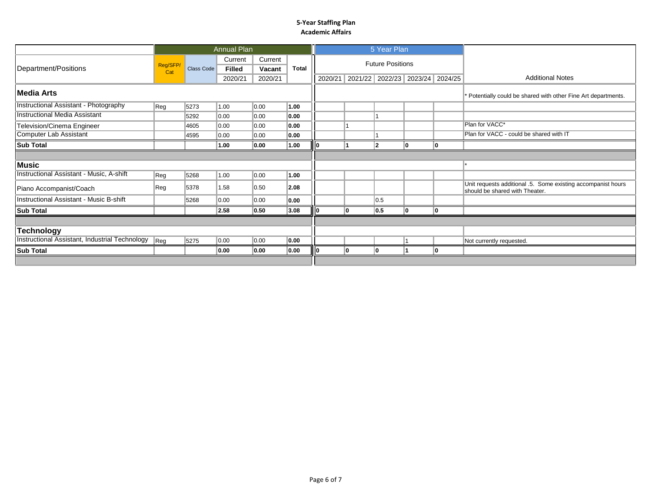|                                                |                |            | <b>Annual Plan</b>       |                   |              |     | 5 Year Plan             |                                                                |    |                                                                                                |
|------------------------------------------------|----------------|------------|--------------------------|-------------------|--------------|-----|-------------------------|----------------------------------------------------------------|----|------------------------------------------------------------------------------------------------|
| Department/Positions                           | Reg/SFP<br>Cat | Class Code | Current<br><b>Filled</b> | Current<br>Vacant | <b>Total</b> |     | <b>Future Positions</b> |                                                                |    |                                                                                                |
|                                                |                |            | 2020/21                  | 2020/21           |              |     |                         | 2020/21 2021/22 2022/23 2023/24 2024/25                        |    | <b>Additional Notes</b>                                                                        |
| <b>Media Arts</b>                              |                |            |                          |                   |              |     |                         | * Potentially could be shared with other Fine Art departments. |    |                                                                                                |
| <b>Instructional Assistant - Photography</b>   | Reg            | 5273       | 1.00                     | $\parallel$ 0.00  | 1.00         |     |                         |                                                                |    |                                                                                                |
| <b>Instructional Media Assistant</b>           |                | 5292       | 0.00                     | 0.00              | 0.00         |     |                         |                                                                |    |                                                                                                |
| Television/Cinema Engineer                     |                | 4605       | 0.00                     | 0.00              | 0.00         |     |                         |                                                                |    | Plan for VACC*                                                                                 |
| Computer Lab Assistant                         |                | 4595       | 0.00                     | 0.00              | 0.00         |     |                         |                                                                |    | Plan for VACC - could be shared with IT                                                        |
| <b>Sub Total</b>                               |                |            | 1.00                     | 0.00              | 1.00         |     | 12                      | ۱n                                                             | ۱O |                                                                                                |
|                                                |                |            |                          |                   |              |     |                         |                                                                |    |                                                                                                |
| <b>Music</b>                                   |                |            |                          |                   |              |     |                         |                                                                |    |                                                                                                |
| Instructional Assistant - Music, A-shift       | Reg            | 5268       | 1.00                     | 0.00              | 1.00         |     |                         |                                                                |    |                                                                                                |
| Piano Accompanist/Coach                        | Reg            | 5378       | 1.58                     | 0.50              | 2.08         |     |                         |                                                                |    | Unit requests additional .5. Some existing accompanist hours<br>should be shared with Theater. |
| Instructional Assistant - Music B-shift        |                | 5268       | 0.00                     | 0.00              | 0.00         |     | 0.5                     |                                                                |    |                                                                                                |
| <b>Sub Total</b>                               |                |            | 2.58                     | 0.50              | 3.08         | l0. | 0.5                     | ın                                                             | ۱n |                                                                                                |
|                                                |                |            |                          |                   |              |     |                         |                                                                |    |                                                                                                |
| <b>Technology</b>                              |                |            |                          |                   |              |     |                         |                                                                |    |                                                                                                |
| Instructional Assistant, Industrial Technology | $ {\sf Reg} $  | 5275       | 0.00                     | $\parallel$ 0.00  | 0.00         |     |                         |                                                                |    | Not currently requested.                                                                       |
| <b>Sub Total</b>                               |                |            | 0.00                     | 0.00              | 0.00         | O   | 10                      |                                                                | 10 |                                                                                                |
|                                                |                |            |                          |                   |              |     |                         |                                                                |    |                                                                                                |